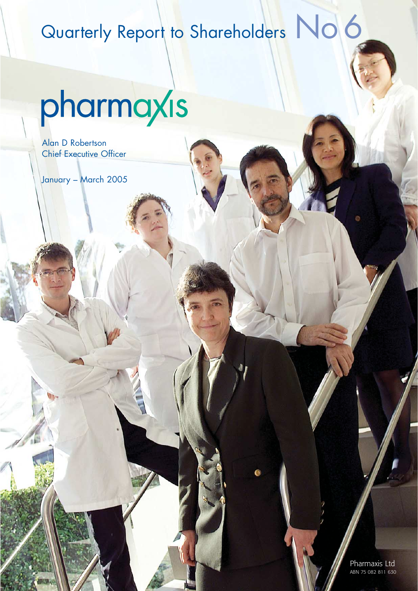## Quarterly Report to Shareholders No 6

# pharmaxis

Alan D Robertson Chief Executive Officer

January – March 2005

Pharmaxis Ltd ABN 75 082 811 630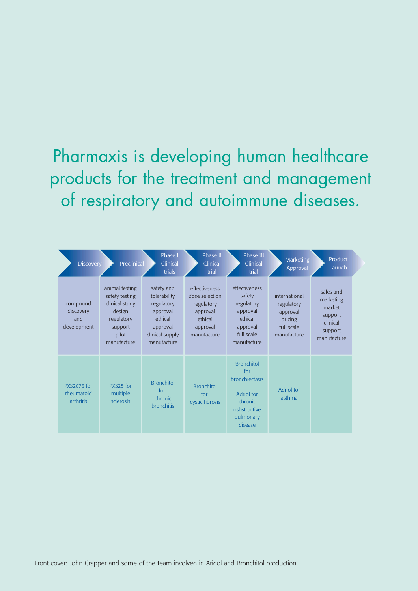## Pharmaxis is developing human healthcare products for the treatment and management of respiratory and autoimmune diseases.

| <b>Discovery</b>                              | Preclinical                                                                                                   | Phase I<br>Clinical<br>trials                                                                                 | Phase II<br>Clinical<br>trial                                                                   | Phase III<br>Clinical<br>trial                                                                                     | <b>Marketing</b><br>Approval                                                    | Product<br>Launch                                                                 |
|-----------------------------------------------|---------------------------------------------------------------------------------------------------------------|---------------------------------------------------------------------------------------------------------------|-------------------------------------------------------------------------------------------------|--------------------------------------------------------------------------------------------------------------------|---------------------------------------------------------------------------------|-----------------------------------------------------------------------------------|
| compound<br>discovery<br>and<br>development   | animal testing<br>safety testing<br>clinical study<br>design<br>regulatory<br>support<br>pilot<br>manufacture | safety and<br>tolerability<br>regulatory<br>approval<br>ethical<br>approval<br>clinical supply<br>manufacture | effectiveness<br>dose selection<br>regulatory<br>approval<br>ethical<br>approval<br>manufacture | effectiveness<br>safety<br>regulatory<br>approval<br>ethical<br>approval<br>full scale<br>manufacture              | international<br>regulatory<br>approval<br>pricing<br>full scale<br>manufacture | sales and<br>marketing<br>market<br>support<br>clinical<br>support<br>manufacture |
| <b>PXS2076 for</b><br>rheumatoid<br>arthritis | PXS <sub>25</sub> for<br>multiple<br>sclerosis                                                                | <b>Bronchitol</b><br>for<br>chronic<br><b>bronchitis</b>                                                      | <b>Bronchitol</b><br>for<br>cystic fibrosis                                                     | <b>Bronchitol</b><br>for<br><b>bronchiectasis</b><br>Adriol for<br>chronic<br>osbstructive<br>pulmonary<br>disease | Adriol for<br>asthma                                                            |                                                                                   |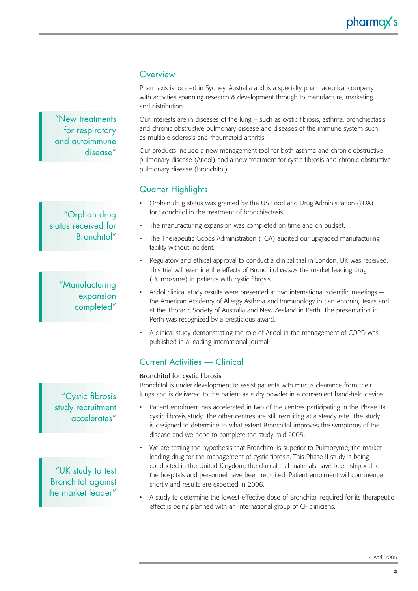### pharmaxis

#### **Overview**

Pharmaxis is located in Sydney, Australia and is a specialty pharmaceutical company with activities spanning research & development through to manufacture, marketing and distribution.

Our interests are in diseases of the lung – such as cystic fibrosis, asthma, bronchiectasis and chronic obstructive pulmonary disease and diseases of the immune system such as multiple sclerosis and rheumatoid arthritis.

Our products include a new management tool for both asthma and chronic obstructive pulmonary disease (Aridol) and a new treatment for cystic fibrosis and chronic obstructive pulmonary disease (Bronchitol).

#### Quarter Highlights

- Orphan drug status was granted by the US Food and Drug Administration (FDA) for Bronchitol in the treatment of bronchiectasis.
- The manufacturing expansion was completed on time and on budget.
- The Therapeutic Goods Administration (TGA) audited our upgraded manufacturing facility without incident.
- Regulatory and ethical approval to conduct a clinical trial in London, UK was received. This trial will examine the effects of Bronchitol *versus* the market leading drug (Pulmozyme) in patients with cystic fibrosis.
- Aridol clinical study results were presented at two international scientific meetings the American Academy of Allergy Asthma and Immunology in San Antonio, Texas and at the Thoracic Society of Australia and New Zealand in Perth. The presentation in Perth was recognized by a prestigious award.
- A clinical study demonstrating the role of Aridol in the management of COPD was published in a leading international journal.

#### Current Activities — Clinical

#### Bronchitol for cystic fibrosis

Bronchitol is under development to assist patients with mucus clearance from their lungs and is delivered to the patient as a dry powder in a convenient hand-held device.

- Patient enrolment has accelerated in two of the centres participating in the Phase IIa cystic fibrosis study. The other centres are still recruiting at a steady rate. The study is designed to determine to what extent Bronchitol improves the symptoms of the disease and we hope to complete the study mid-2005.
- We are testing the hypothesis that Bronchitol is superior to Pulmozyme, the market leading drug for the management of cystic fibrosis. This Phase II study is being conducted in the United Kingdom, the clinical trial materials have been shipped to the hospitals and personnel have been recruited. Patient enrolment will commence shortly and results are expected in 2006.
- A study to determine the lowest effective dose of Bronchitol required for its therapeutic effect is being planned with an international group of CF clinicians.

"New treatments for respiratory and autoimmune disease"

"Orphan drug status received for Bronchitol"

#### "Manufacturing expansion completed"

"Cystic fibrosis study recruitment accelerates"

"UK study to test Bronchitol against the market leader"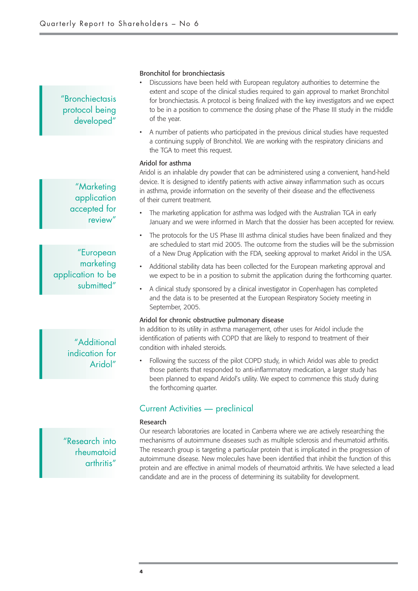#### "Bronchiectasis protocol being developed"

"Marketing application accepted for review"

"European marketing application to be submitted"

#### Bronchitol for bronchiectasis

- Discussions have been held with European regulatory authorities to determine the extent and scope of the clinical studies required to gain approval to market Bronchitol for bronchiectasis. A protocol is being finalized with the key investigators and we expect to be in a position to commence the dosing phase of the Phase III study in the middle of the year.
- A number of patients who participated in the previous clinical studies have requested a continuing supply of Bronchitol. We are working with the respiratory clinicians and the TGA to meet this request.

#### Aridol for asthma

Aridol is an inhalable dry powder that can be administered using a convenient, hand-held device. It is designed to identify patients with active airway inflammation such as occurs in asthma, provide information on the severity of their disease and the effectiveness of their current treatment.

- The marketing application for asthma was lodged with the Australian TGA in early January and we were informed in March that the dossier has been accepted for review.
- The protocols for the US Phase III asthma clinical studies have been finalized and they are scheduled to start mid 2005. The outcome from the studies will be the submission of a New Drug Application with the FDA, seeking approval to market Aridol in the USA.
- Additional stability data has been collected for the European marketing approval and we expect to be in a position to submit the application during the forthcoming quarter.
- A clinical study sponsored by a clinical investigator in Copenhagen has completed and the data is to be presented at the European Respiratory Society meeting in September, 2005.

#### Aridol for chronic obstructive pulmonary disease

In addition to its utility in asthma management, other uses for Aridol include the identification of patients with COPD that are likely to respond to treatment of their condition with inhaled steroids.

• Following the success of the pilot COPD study, in which Aridol was able to predict those patients that responded to anti-inflammatory medication, a larger study has been planned to expand Aridol's utility. We expect to commence this study during the forthcoming quarter.

#### Current Activities — preclinical

#### Research

Our research laboratories are located in Canberra where we are actively researching the mechanisms of autoimmune diseases such as multiple sclerosis and rheumatoid arthritis. The research group is targeting a particular protein that is implicated in the progression of autoimmune disease. New molecules have been identified that inhibit the function of this protein and are effective in animal models of rheumatoid arthritis. We have selected a lead candidate and are in the process of determining its suitability for development.

"Additional indication for Aridol"

"Research into rheumatoid arthritis"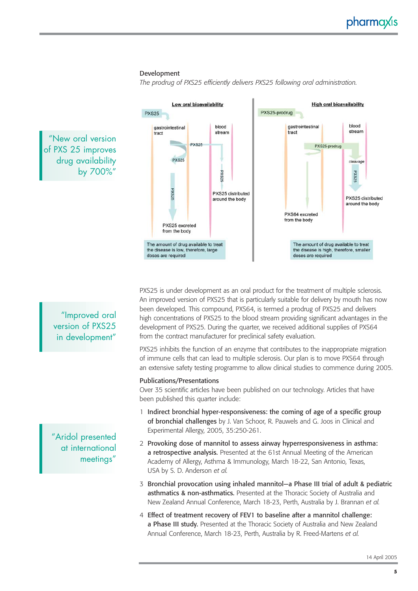#### Development

*The prodrug of PXS25 efficiently delivers PXS25 following oral administration.*



PXS25 is under development as an oral product for the treatment of multiple sclerosis. An improved version of PXS25 that is particularly suitable for delivery by mouth has now been developed. This compound, PXS64, is termed a prodrug of PXS25 and delivers high concentrations of PXS25 to the blood stream providing significant advantages in the development of PXS25. During the quarter, we received additional supplies of PXS64 from the contract manufacturer for preclinical safety evaluation.

PXS25 inhibits the function of an enzyme that contributes to the inappropriate migration of immune cells that can lead to multiple sclerosis. Our plan is to move PXS64 through an extensive safety testing programme to allow clinical studies to commence during 2005.

#### Publications/Presentations

Over 35 scientific articles have been published on our technology. Articles that have been published this quarter include:

- 1 Indirect bronchial hyper-responsiveness: the coming of age of a specific group of bronchial challenges by J. Van Schoor, R. Pauwels and G. Joos in Clinical and Experimental Allergy, 2005, 35:250-261.
- 2 Provoking dose of mannitol to assess airway hyperresponsiveness in asthma: a retrospective analysis. Presented at the 61st Annual Meeting of the American Academy of Allergy, Asthma & Immunology, March 18-22, San Antonio, Texas, USA by S. D. Anderson *et al.*
- 3 Bronchial provocation using inhaled mannitol—a Phase III trial of adult & pediatric asthmatics & non-asthmatics. Presented at the Thoracic Society of Australia and New Zealand Annual Conference, March 18-23, Perth, Australia by J. Brannan *et al.*
- 4 Effect of treatment recovery of FEV1 to baseline after a mannitol challenge: a Phase III study. Presented at the Thoracic Society of Australia and New Zealand Annual Conference, March 18-23, Perth, Australia by R. Freed-Martens *et al.*

"Improved oral version of PXS25 in development"

"New oral version of PXS 25 improves drug availability

by 700%"

"Aridol presented at international meetings"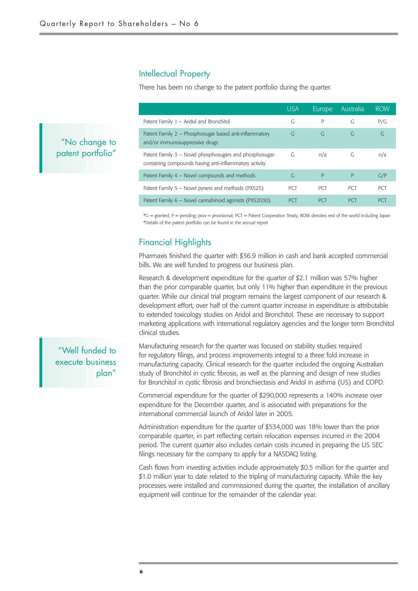#### Intellectual Property

There has been no change to the patent portfolio during the quarter.

|                                                                                                                   | <b>USA</b> | Europe     | Australia  | <b>ROW</b> |  |
|-------------------------------------------------------------------------------------------------------------------|------------|------------|------------|------------|--|
| Patent Family 1 - Aridol and Bronchitol                                                                           | G          | P          | G          | P/G        |  |
| Patent Family 2 - Phosphosugar based anti-inflammatory<br>and/or immunosuppressive drugs                          | G          | G          | G          | G          |  |
| Patent Family 3 - Novel phosphosugars and phosphosugar-<br>containing compounds having anti-inflammatory activity | G          | n/a        | G          | n/a        |  |
| Patent Family 4 – Novel compounds and methods                                                                     | G          | P          | P          | G/P        |  |
| Patent Family 5 – Novel pyrans and methods (PXS25)                                                                | <b>PCT</b> | <b>PCT</b> | <b>PCT</b> | <b>PCT</b> |  |
| Patent Family 6 - Novel cannabinoid agonists (PXS2030)                                                            | <b>PCT</b> | <b>PCT</b> | <b>PCT</b> | <b>PCT</b> |  |

\*G = granted; P = pending; prov = provisional; PCT = Patent Cooperation Treaty; ROW denotes rest of the world including Japan \*Details of the patent portfolio can be found in the annual report

#### Financial Highlights

Pharmaxis finished the quarter with \$36.9 million in cash and bank accepted commercial bills. We are well funded to progress our business plan.

Research & development expenditure for the quarter of \$2.1 million was 57% higher than the prior comparable quarter, but only 11% higher than expenditure in the previous quarter. While our clinical trial program remains the largest component of our research & development effort, over half of the current quarter increase in expenditure is attributable to extended toxicology studies on Aridol and Bronchitol. These are necessary to support marketing applications with international regulatory agencies and the longer term Bronchitol clinical studies.

"Well funded to execute business plan"

"No change to patent portfolio"

> Manufacturing research for the quarter was focused on stability studies required for regulatory filings, and process improvements integral to a three fold increase in manufacturing capacity. Clinical research for the quarter included the ongoing Australian study of Bronchitol in cystic fibrosis, as well as the planning and design of new studies for Bronchitol in cystic fibrosis and bronchiectasis and Aridol in asthma (US) and COPD.

> Commercial expenditure for the quarter of \$290,000 represents a 140% increase over expenditure for the December quarter, and is associated with preparations for the international commercial launch of Aridol later in 2005.

> Administration expenditure for the quarter of \$534,000 was 18% lower than the prior comparable quarter, in part reflecting certain relocation expenses incurred in the 2004 period. The current quarter also includes certain costs incurred in preparing the US SEC filings necessary for the company to apply for a NASDAQ listing.

Cash flows from investing activities include approximately \$0.5 million for the quarter and \$1.0 million year to date related to the tripling of manufacturing capacity. While the key processes were installed and commissioned during the quarter, the installation of ancillary equipment will continue for the remainder of the calendar year.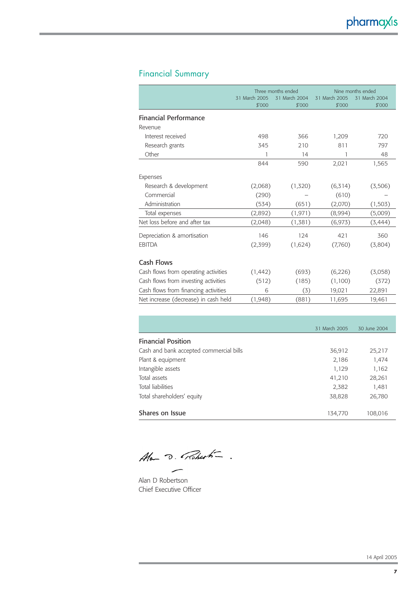#### Financial Summary

|                                      | Three months ended |               | Nine months ended |               |
|--------------------------------------|--------------------|---------------|-------------------|---------------|
|                                      | 31 March 2005      | 31 March 2004 | 31 March 2005     | 31 March 2004 |
|                                      | \$′000             | \$'000        | \$′000            | \$'000        |
| <b>Financial Performance</b>         |                    |               |                   |               |
| Revenue                              |                    |               |                   |               |
| Interest received                    | 498                | 366           | 1,209             | 720           |
| Research grants                      | 345                | 210           | 811               | 797           |
| Other                                | 1                  | 14            | 1                 | 48            |
|                                      | 844                | 590           | 2,021             | 1,565         |
| Expenses                             |                    |               |                   |               |
| Research & development               | (2,068)            | (1,320)       | (6,314)           | (3,506)       |
| Commercial                           | (290)              |               | (610)             |               |
| Administration                       | (534)              | (651)         | (2,070)           | (1,503)       |
| Total expenses                       | (2,892)            | (1, 971)      | (8,994)           | (5,009)       |
| Net loss before and after tax        | (2,048)            | (1,381)       | (6, 973)          | (3, 444)      |
| Depreciation & amortisation          | 146                | 124           | 421               | 360           |
| <b>EBITDA</b>                        | (2,399)            | (1,624)       | (7,760)           | (3,804)       |
| Cash Flows                           |                    |               |                   |               |
| Cash flows from operating activities | (1, 442)           | (693)         | (6,226)           | (3,058)       |
| Cash flows from investing activities | (512)              | (185)         | (1,100)           | (372)         |
| Cash flows from financing activities | 6                  | (3)           | 19,021            | 22,891        |
| Net increase (decrease) in cash held | (1,948)            | (881)         | 11,695            | 19,461        |

|                                         | 31 March 2005 | 30 June 2004 |
|-----------------------------------------|---------------|--------------|
| <b>Financial Position</b>               |               |              |
| Cash and bank accepted commercial bills | 36,912        | 25,217       |
| Plant & equipment                       | 2,186         | 1,474        |
| Intangible assets                       | 1,129         | 1,162        |
| Total assets                            | 41,210        | 28,261       |
| Total liabilities                       | 2,382         | 1,481        |
| Total shareholders' equity              | 38,828        | 26,780       |
|                                         |               |              |
| Shares on Issue                         | 134,770       | 108,016      |

Alan D. Robert-

Alan D Robertson Chief Executive Officer